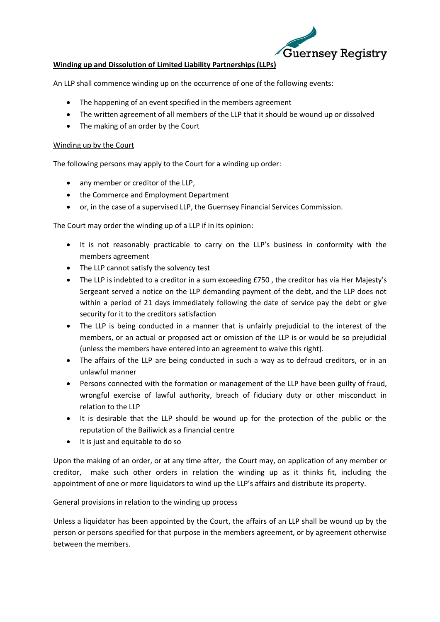

## **Winding up and Dissolution of Limited Liability Partnerships (LLPs)**

An LLP shall commence winding up on the occurrence of one of the following events:

- The happening of an event specified in the members agreement
- The written agreement of all members of the LLP that it should be wound up or dissolved
- The making of an order by the Court

## Winding up by the Court

The following persons may apply to the Court for a winding up order:

- any member or creditor of the LLP,
- the Commerce and Employment Department
- or, in the case of a supervised LLP, the Guernsey Financial Services Commission.

The Court may order the winding up of a LLP if in its opinion:

- It is not reasonably practicable to carry on the LLP's business in conformity with the members agreement
- The LLP cannot satisfy the solvency test
- The LLP is indebted to a creditor in a sum exceeding £750 , the creditor has via Her Majesty's Sergeant served a notice on the LLP demanding payment of the debt, and the LLP does not within a period of 21 days immediately following the date of service pay the debt or give security for it to the creditors satisfaction
- The LLP is being conducted in a manner that is unfairly prejudicial to the interest of the members, or an actual or proposed act or omission of the LLP is or would be so prejudicial (unless the members have entered into an agreement to waive this right).
- The affairs of the LLP are being conducted in such a way as to defraud creditors, or in an unlawful manner
- Persons connected with the formation or management of the LLP have been guilty of fraud, wrongful exercise of lawful authority, breach of fiduciary duty or other misconduct in relation to the LLP
- It is desirable that the LLP should be wound up for the protection of the public or the reputation of the Bailiwick as a financial centre
- It is just and equitable to do so

Upon the making of an order, or at any time after, the Court may, on application of any member or creditor, make such other orders in relation the winding up as it thinks fit, including the appointment of one or more liquidators to wind up the LLP's affairs and distribute its property.

## General provisions in relation to the winding up process

Unless a liquidator has been appointed by the Court, the affairs of an LLP shall be wound up by the person or persons specified for that purpose in the members agreement, or by agreement otherwise between the members.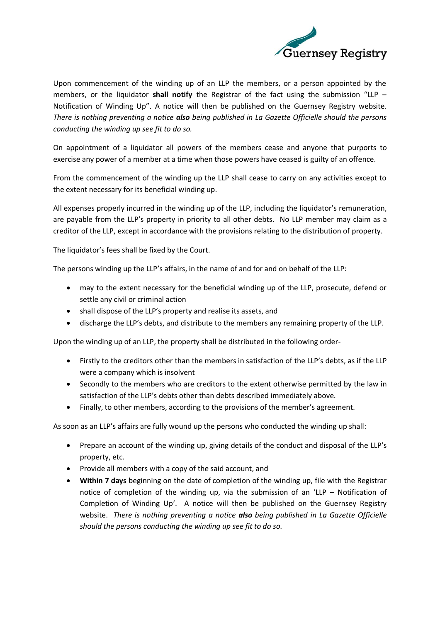

Upon commencement of the winding up of an LLP the members, or a person appointed by the members, or the liquidator **shall notify** the Registrar of the fact using the submission "LLP – Notification of Winding Up". A notice will then be published on the Guernsey Registry website. *There is nothing preventing a notice also being published in La Gazette Officielle should the persons conducting the winding up see fit to do so.*

On appointment of a liquidator all powers of the members cease and anyone that purports to exercise any power of a member at a time when those powers have ceased is guilty of an offence.

From the commencement of the winding up the LLP shall cease to carry on any activities except to the extent necessary for its beneficial winding up.

All expenses properly incurred in the winding up of the LLP, including the liquidator's remuneration, are payable from the LLP's property in priority to all other debts. No LLP member may claim as a creditor of the LLP, except in accordance with the provisions relating to the distribution of property.

The liquidator's fees shall be fixed by the Court.

The persons winding up the LLP's affairs, in the name of and for and on behalf of the LLP:

- may to the extent necessary for the beneficial winding up of the LLP, prosecute, defend or settle any civil or criminal action
- shall dispose of the LLP's property and realise its assets, and
- discharge the LLP's debts, and distribute to the members any remaining property of the LLP.

Upon the winding up of an LLP, the property shall be distributed in the following order-

- Firstly to the creditors other than the members in satisfaction of the LLP's debts, as if the LLP were a company which is insolvent
- Secondly to the members who are creditors to the extent otherwise permitted by the law in satisfaction of the LLP's debts other than debts described immediately above.
- Finally, to other members, according to the provisions of the member's agreement.

As soon as an LLP's affairs are fully wound up the persons who conducted the winding up shall:

- Prepare an account of the winding up, giving details of the conduct and disposal of the LLP's property, etc.
- Provide all members with a copy of the said account, and
- **Within 7 days** beginning on the date of completion of the winding up, file with the Registrar notice of completion of the winding up, via the submission of an 'LLP – Notification of Completion of Winding Up'. A notice will then be published on the Guernsey Registry website. *There is nothing preventing a notice also being published in La Gazette Officielle should the persons conducting the winding up see fit to do so.*